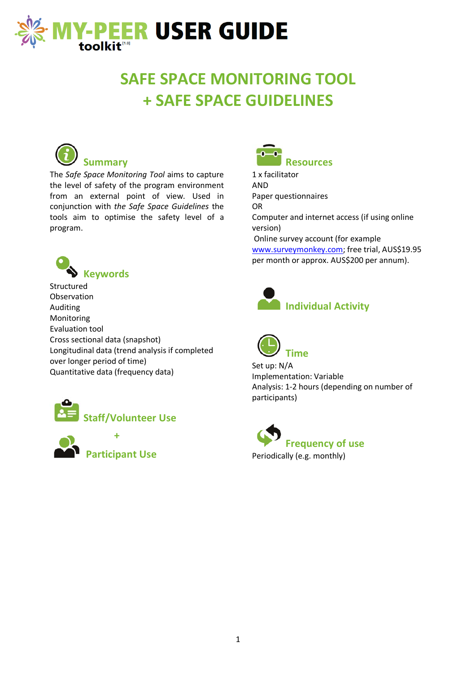

## **SAFE SPACE MONITORING TOOL + SAFE SPACE GUIDELINES**



#### **Summary**

The *Safe Space Monitoring Tool* aims to capture the level of safety of the program environment from an external point of view. Used in conjunction with *the Safe Space Guidelines* the tools aim to optimise the safety level of a program.



Structured Observation Auditing Monitoring Evaluation tool Cross sectional data (snapshot) Longitudinal data (trend analysis if completed over longer period of time) Quantitative data (frequency data)







1 x facilitator AND Paper questionnaires OR Computer and internet access (if using online version) Online survey account (for example [www.surveymonkey.com;](http://www.surveymonkey.com/) free trial, AUS\$19.95 per month or approx. AUS\$200 per annum).





Set up: N/A Implementation: Variable Analysis: 1-2 hours (depending on number of participants)

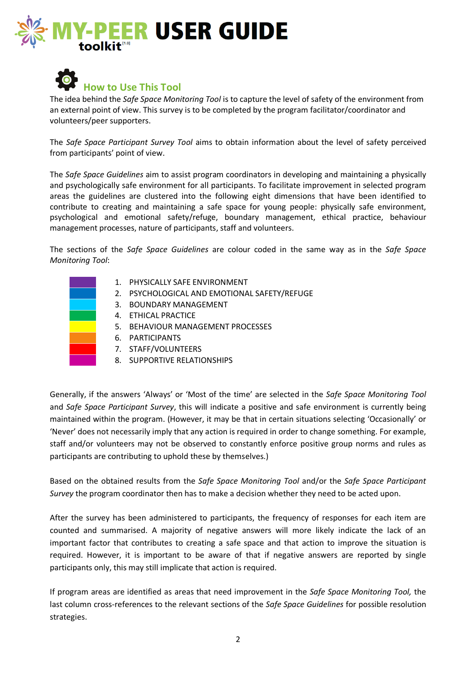



The idea behind the *Safe Space Monitoring Tool* is to capture the level of safety of the environment from an external point of view. This survey is to be completed by the program facilitator/coordinator and volunteers/peer supporters.

The *Safe Space Participant Survey Tool* aims to obtain information about the level of safety perceived from participants' point of view.

The *Safe Space Guidelines* aim to assist program coordinators in developing and maintaining a physically and psychologically safe environment for all participants. To facilitate improvement in selected program areas the guidelines are clustered into the following eight dimensions that have been identified to contribute to creating and maintaining a safe space for young people: physically safe environment, psychological and emotional safety/refuge, boundary management, ethical practice, behaviour management processes, nature of participants, staff and volunteers.

The sections of the *Safe Space Guidelines* are colour coded in the same way as in the *Safe Space Monitoring Tool*:

- 1. PHYSICALLY SAFE ENVIRONMENT
- 2. PSYCHOLOGICAL AND EMOTIONAL SAFETY/REFUGE
- 3. BOUNDARY MANAGEMENT
- 4. ETHICAL PRACTICE
	- 5. BEHAVIOUR MANAGEMENT PROCESSES
- 6. PARTICIPANTS
	- 7. STAFF/VOLUNTEERS
	- 8. SUPPORTIVE RELATIONSHIPS

Generally, if the answers 'Always' or 'Most of the time' are selected in the *Safe Space Monitoring Tool*  and *Safe Space Participant Survey*, this will indicate a positive and safe environment is currently being maintained within the program. (However, it may be that in certain situations selecting 'Occasionally' or 'Never' does not necessarily imply that any action is required in order to change something. For example, staff and/or volunteers may not be observed to constantly enforce positive group norms and rules as participants are contributing to uphold these by themselves.)

Based on the obtained results from the *Safe Space Monitoring Tool* and/or the *Safe Space Participant Survey* the program coordinator then has to make a decision whether they need to be acted upon.

After the survey has been administered to participants, the frequency of responses for each item are counted and summarised. A majority of negative answers will more likely indicate the lack of an important factor that contributes to creating a safe space and that action to improve the situation is required. However, it is important to be aware of that if negative answers are reported by single participants only, this may still implicate that action is required.

If program areas are identified as areas that need improvement in the *Safe Space Monitoring Tool,* the last column cross-references to the relevant sections of the *Safe Space Guidelines* for possible resolution strategies.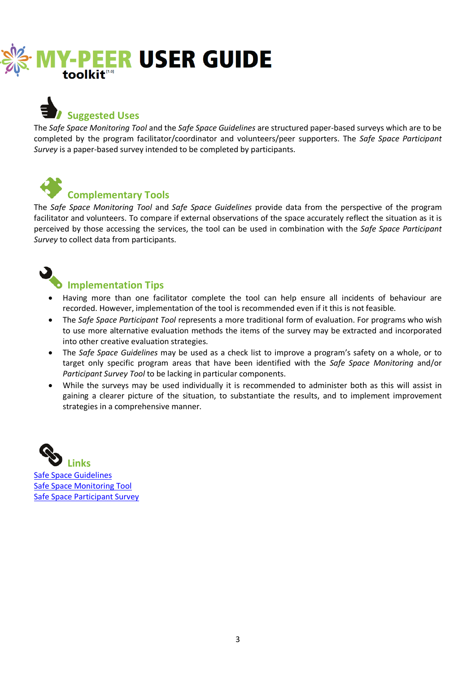

## **Suggested Uses**

The *Safe Space Monitoring Tool* and the *Safe Space Guidelines* are structured paper-based surveys which are to be completed by the program facilitator/coordinator and volunteers/peer supporters. The *Safe Space Participant Survey* is a paper-based survey intended to be completed by participants.



#### **Complementary Tools**

The *Safe Space Monitoring Tool* and *Safe Space Guidelines* provide data from the perspective of the program facilitator and volunteers. To compare if external observations of the space accurately reflect the situation as it is perceived by those accessing the services, the tool can be used in combination with the *Safe Space Participant Survey* to collect data from participants.

# **Implementation Tips**

- Having more than one facilitator complete the tool can help ensure all incidents of behaviour are recorded. However, implementation of the tool is recommended even if it this is not feasible.
- The *Safe Space Participant Tool* represents a more traditional form of evaluation. For programs who wish to use more alternative evaluation methods the items of the survey may be extracted and incorporated into other creative evaluation strategies.
- The *Safe Space Guidelines* may be used as a check list to improve a program's safety on a whole, or to target only specific program areas that have been identified with the *Safe Space Monitoring* and/or *Participant Survey Tool* to be lacking in particular components.
- While the surveys may be used individually it is recommended to administer both as this will assist in gaining a clearer picture of the situation, to substantiate the results, and to implement improvement strategies in a comprehensive manner.



**Links** [Safe Space Guidelines](http://www.mypeer.org.au/program-evaluation-tools/safe-space-monitoring-tools-guidelines) [Safe Space Monitoring Tool](http://www.mypeer.org.au/program-evaluation-tools/safe-space-monitoring-tools-guidelines) [Safe Space Participant Survey](http://www.mypeer.org.au/program-evaluation-tools/safe-space-monitoring-tools-guidelines)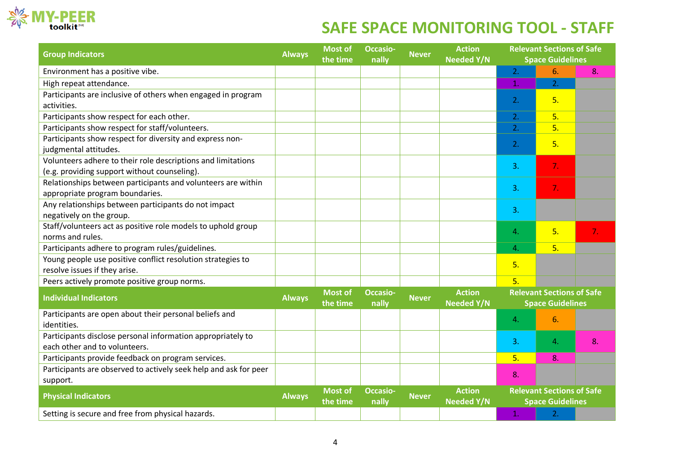

## **SAFE SPACE MONITORING TOOL - STAFF**

| <b>Group Indicators</b>                                                      | <b>Always</b> | <b>Most of</b><br>the time | <b>Occasio-</b><br>nally | <b>Never</b> | <b>Action</b><br><b>Needed Y/N</b> | <b>Relevant Sections of Safe</b><br><b>Space Guidelines</b> |    |    |
|------------------------------------------------------------------------------|---------------|----------------------------|--------------------------|--------------|------------------------------------|-------------------------------------------------------------|----|----|
| Environment has a positive vibe.                                             |               |                            |                          |              |                                    | 2.                                                          | 6. | 8. |
| High repeat attendance.                                                      |               |                            |                          |              |                                    | 1.                                                          | 2. |    |
| Participants are inclusive of others when engaged in program                 |               |                            |                          |              |                                    | 2.                                                          | 5. |    |
| activities.                                                                  |               |                            |                          |              |                                    |                                                             |    |    |
| Participants show respect for each other.                                    |               |                            |                          |              |                                    | 2.                                                          | 5. |    |
| Participants show respect for staff/volunteers.                              |               |                            |                          |              |                                    | 2.                                                          | 5. |    |
| Participants show respect for diversity and express non-                     |               |                            |                          |              |                                    | 2.                                                          | 5. |    |
| judgmental attitudes.                                                        |               |                            |                          |              |                                    |                                                             |    |    |
| Volunteers adhere to their role descriptions and limitations                 |               |                            |                          |              |                                    | 3.                                                          | 7. |    |
| (e.g. providing support without counseling).                                 |               |                            |                          |              |                                    |                                                             |    |    |
| Relationships between participants and volunteers are within                 |               |                            |                          |              |                                    | 3.                                                          | 7. |    |
| appropriate program boundaries.                                              |               |                            |                          |              |                                    |                                                             |    |    |
| Any relationships between participants do not impact                         |               |                            |                          |              |                                    | 3.                                                          |    |    |
| negatively on the group.                                                     |               |                            |                          |              |                                    |                                                             |    |    |
| Staff/volunteers act as positive role models to uphold group                 |               |                            |                          |              |                                    | 4.                                                          | 5. | 7. |
| norms and rules.                                                             |               |                            |                          |              |                                    |                                                             |    |    |
| Participants adhere to program rules/guidelines.                             |               |                            |                          |              |                                    | 4.                                                          | 5. |    |
| Young people use positive conflict resolution strategies to                  |               |                            |                          |              |                                    | 5.                                                          |    |    |
| resolve issues if they arise.                                                |               |                            |                          |              |                                    |                                                             |    |    |
| Peers actively promote positive group norms.                                 |               |                            |                          |              |                                    | 5.                                                          |    |    |
| <b>Individual Indicators</b>                                                 | <b>Always</b> | <b>Most of</b><br>the time | <b>Occasio-</b><br>nally | <b>Never</b> | <b>Action</b><br><b>Needed Y/N</b> | <b>Relevant Sections of Safe</b><br><b>Space Guidelines</b> |    |    |
| Participants are open about their personal beliefs and                       |               |                            |                          |              |                                    | 4.                                                          | 6. |    |
| identities.                                                                  |               |                            |                          |              |                                    |                                                             |    |    |
| Participants disclose personal information appropriately to                  |               |                            |                          |              |                                    | 3.                                                          | 4. | 8. |
| each other and to volunteers.                                                |               |                            |                          |              |                                    |                                                             |    |    |
| Participants provide feedback on program services.                           |               |                            |                          |              |                                    | 5.                                                          | 8. |    |
| Participants are observed to actively seek help and ask for peer<br>support. |               |                            |                          |              |                                    | 8.                                                          |    |    |
| <b>Physical Indicators</b>                                                   | <b>Always</b> | <b>Most of</b><br>the time | <b>Occasio-</b><br>nally | <b>Never</b> | <b>Action</b><br><b>Needed Y/N</b> | <b>Relevant Sections of Safe</b><br><b>Space Guidelines</b> |    |    |
| Setting is secure and free from physical hazards.                            |               |                            |                          |              |                                    | 1.                                                          | 2. |    |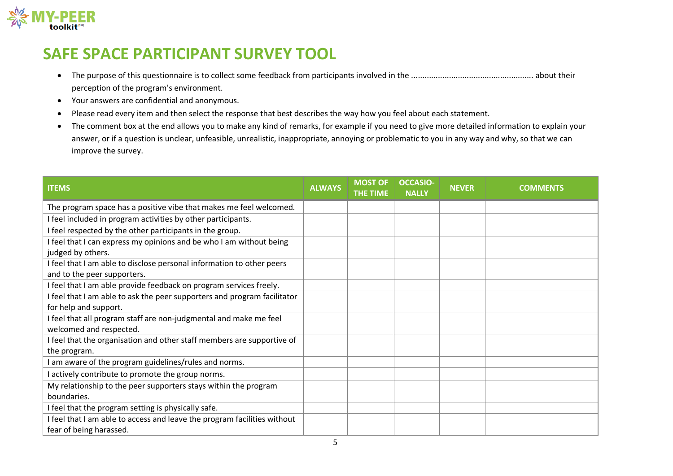

#### **SAFE SPACE PARTICIPANT SURVEY TOOL**

- The purpose of this questionnaire is to collect some feedback from participants involved in the ....................................................... about their perception of the program's environment.
- Your answers are confidential and anonymous.
- Please read every item and then select the response that best describes the way how you feel about each statement.
- The comment box at the end allows you to make any kind of remarks, for example if you need to give more detailed information to explain your answer, or if a question is unclear, unfeasible, unrealistic, inappropriate, annoying or problematic to you in any way and why, so that we can improve the survey.

| <b>ITEMS</b>                                                                                         | <b>ALWAYS</b> | <b>MOST OF</b><br>THE TIME | <b>OCCASIO-</b><br><b>NALLY</b> | <b>NEVER</b> | <b>COMMENTS</b> |
|------------------------------------------------------------------------------------------------------|---------------|----------------------------|---------------------------------|--------------|-----------------|
| The program space has a positive vibe that makes me feel welcomed.                                   |               |                            |                                 |              |                 |
| I feel included in program activities by other participants.                                         |               |                            |                                 |              |                 |
| I feel respected by the other participants in the group.                                             |               |                            |                                 |              |                 |
| I feel that I can express my opinions and be who I am without being<br>judged by others.             |               |                            |                                 |              |                 |
| I feel that I am able to disclose personal information to other peers<br>and to the peer supporters. |               |                            |                                 |              |                 |
| I feel that I am able provide feedback on program services freely.                                   |               |                            |                                 |              |                 |
| I feel that I am able to ask the peer supporters and program facilitator<br>for help and support.    |               |                            |                                 |              |                 |
| I feel that all program staff are non-judgmental and make me feel<br>welcomed and respected.         |               |                            |                                 |              |                 |
| I feel that the organisation and other staff members are supportive of<br>the program.               |               |                            |                                 |              |                 |
| I am aware of the program guidelines/rules and norms.                                                |               |                            |                                 |              |                 |
| I actively contribute to promote the group norms.                                                    |               |                            |                                 |              |                 |
| My relationship to the peer supporters stays within the program<br>boundaries.                       |               |                            |                                 |              |                 |
| I feel that the program setting is physically safe.                                                  |               |                            |                                 |              |                 |
| I feel that I am able to access and leave the program facilities without<br>fear of being harassed.  |               |                            |                                 |              |                 |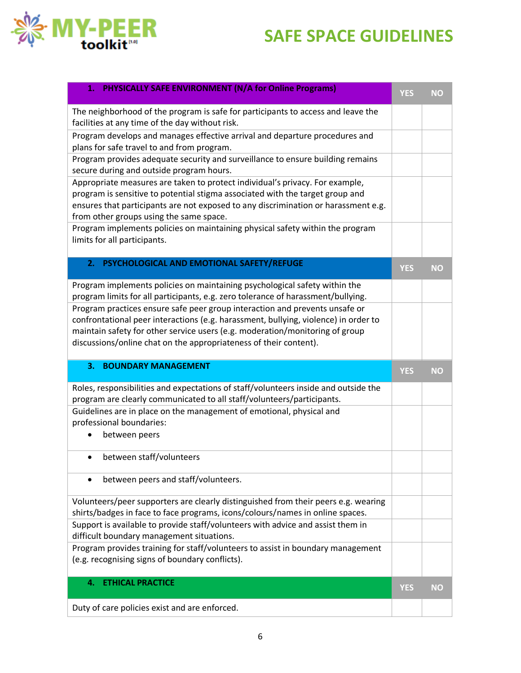## **SAFE SPACE GUIDELINES**



| <b>PHYSICALLY SAFE ENVIRONMENT (N/A for Online Programs)</b><br>1.                                                                                                                                                                                                                                                      | <b>YES</b> | <b>NO</b> |
|-------------------------------------------------------------------------------------------------------------------------------------------------------------------------------------------------------------------------------------------------------------------------------------------------------------------------|------------|-----------|
| The neighborhood of the program is safe for participants to access and leave the<br>facilities at any time of the day without risk.                                                                                                                                                                                     |            |           |
| Program develops and manages effective arrival and departure procedures and<br>plans for safe travel to and from program.                                                                                                                                                                                               |            |           |
| Program provides adequate security and surveillance to ensure building remains<br>secure during and outside program hours.                                                                                                                                                                                              |            |           |
| Appropriate measures are taken to protect individual's privacy. For example,<br>program is sensitive to potential stigma associated with the target group and<br>ensures that participants are not exposed to any discrimination or harassment e.g.<br>from other groups using the same space.                          |            |           |
| Program implements policies on maintaining physical safety within the program<br>limits for all participants.                                                                                                                                                                                                           |            |           |
| PSYCHOLOGICAL AND EMOTIONAL SAFETY/REFUGE<br>2.                                                                                                                                                                                                                                                                         | <b>YES</b> | <b>NO</b> |
| Program implements policies on maintaining psychological safety within the<br>program limits for all participants, e.g. zero tolerance of harassment/bullying.                                                                                                                                                          |            |           |
| Program practices ensure safe peer group interaction and prevents unsafe or<br>confrontational peer interactions (e.g. harassment, bullying, violence) in order to<br>maintain safety for other service users (e.g. moderation/monitoring of group<br>discussions/online chat on the appropriateness of their content). |            |           |
| 3.<br><b>BOUNDARY MANAGEMENT</b>                                                                                                                                                                                                                                                                                        | <b>YES</b> | <b>NO</b> |
| Roles, responsibilities and expectations of staff/volunteers inside and outside the<br>program are clearly communicated to all staff/volunteers/participants.                                                                                                                                                           |            |           |
|                                                                                                                                                                                                                                                                                                                         |            |           |
| Guidelines are in place on the management of emotional, physical and<br>professional boundaries:<br>between peers                                                                                                                                                                                                       |            |           |
| between staff/volunteers                                                                                                                                                                                                                                                                                                |            |           |
| between peers and staff/volunteers.                                                                                                                                                                                                                                                                                     |            |           |
| Volunteers/peer supporters are clearly distinguished from their peers e.g. wearing<br>shirts/badges in face to face programs, icons/colours/names in online spaces.                                                                                                                                                     |            |           |
| Support is available to provide staff/volunteers with advice and assist them in<br>difficult boundary management situations.                                                                                                                                                                                            |            |           |
| Program provides training for staff/volunteers to assist in boundary management<br>(e.g. recognising signs of boundary conflicts).                                                                                                                                                                                      |            |           |
| <b>ETHICAL PRACTICE</b><br>4.                                                                                                                                                                                                                                                                                           | <b>YES</b> | <b>NO</b> |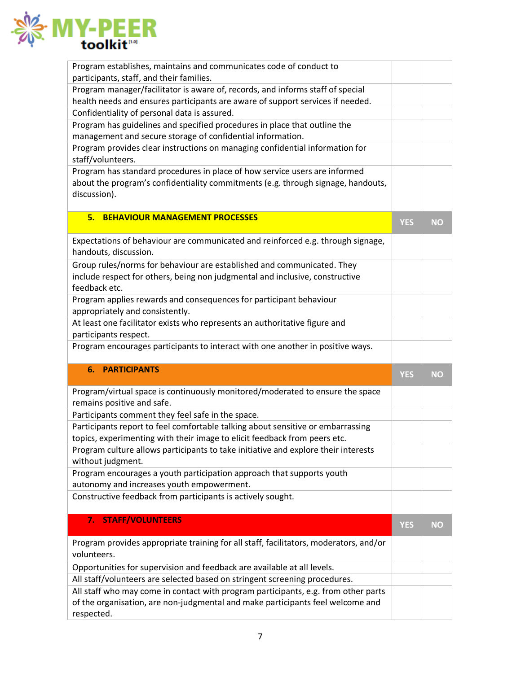

| Program establishes, maintains and communicates code of conduct to                           |            |           |
|----------------------------------------------------------------------------------------------|------------|-----------|
| participants, staff, and their families.                                                     |            |           |
| Program manager/facilitator is aware of, records, and informs staff of special               |            |           |
| health needs and ensures participants are aware of support services if needed.               |            |           |
| Confidentiality of personal data is assured.                                                 |            |           |
| Program has guidelines and specified procedures in place that outline the                    |            |           |
| management and secure storage of confidential information.                                   |            |           |
| Program provides clear instructions on managing confidential information for                 |            |           |
| staff/volunteers.                                                                            |            |           |
| Program has standard procedures in place of how service users are informed                   |            |           |
| about the program's confidentiality commitments (e.g. through signage, handouts,             |            |           |
| discussion).                                                                                 |            |           |
|                                                                                              |            |           |
| <b>BEHAVIOUR MANAGEMENT PROCESSES</b><br>5.                                                  |            |           |
|                                                                                              | <b>YES</b> | <b>NO</b> |
| Expectations of behaviour are communicated and reinforced e.g. through signage,              |            |           |
| handouts, discussion.                                                                        |            |           |
| Group rules/norms for behaviour are established and communicated. They                       |            |           |
| include respect for others, being non judgmental and inclusive, constructive                 |            |           |
| feedback etc.                                                                                |            |           |
| Program applies rewards and consequences for participant behaviour                           |            |           |
|                                                                                              |            |           |
| appropriately and consistently.                                                              |            |           |
| At least one facilitator exists who represents an authoritative figure and                   |            |           |
| participants respect.                                                                        |            |           |
|                                                                                              |            |           |
| Program encourages participants to interact with one another in positive ways.               |            |           |
|                                                                                              |            |           |
| <b>6. PARTICIPANTS</b>                                                                       | <b>YES</b> | <b>NO</b> |
|                                                                                              |            |           |
| Program/virtual space is continuously monitored/moderated to ensure the space                |            |           |
| remains positive and safe.                                                                   |            |           |
| Participants comment they feel safe in the space.                                            |            |           |
| Participants report to feel comfortable talking about sensitive or embarrassing              |            |           |
| topics, experimenting with their image to elicit feedback from peers etc.                    |            |           |
| Program culture allows participants to take initiative and explore their interests           |            |           |
| without judgment.                                                                            |            |           |
| Program encourages a youth participation approach that supports youth                        |            |           |
| autonomy and increases youth empowerment.                                                    |            |           |
| Constructive feedback from participants is actively sought.                                  |            |           |
|                                                                                              |            |           |
| <b>STAFF/VOLUNTEERS</b><br>7.                                                                | <b>YES</b> | <b>NO</b> |
|                                                                                              |            |           |
| Program provides appropriate training for all staff, facilitators, moderators, and/or        |            |           |
| volunteers.                                                                                  |            |           |
| Opportunities for supervision and feedback are available at all levels.                      |            |           |
| All staff/volunteers are selected based on stringent screening procedures.                   |            |           |
| All staff who may come in contact with program participants, e.g. from other parts           |            |           |
| of the organisation, are non-judgmental and make participants feel welcome and<br>respected. |            |           |